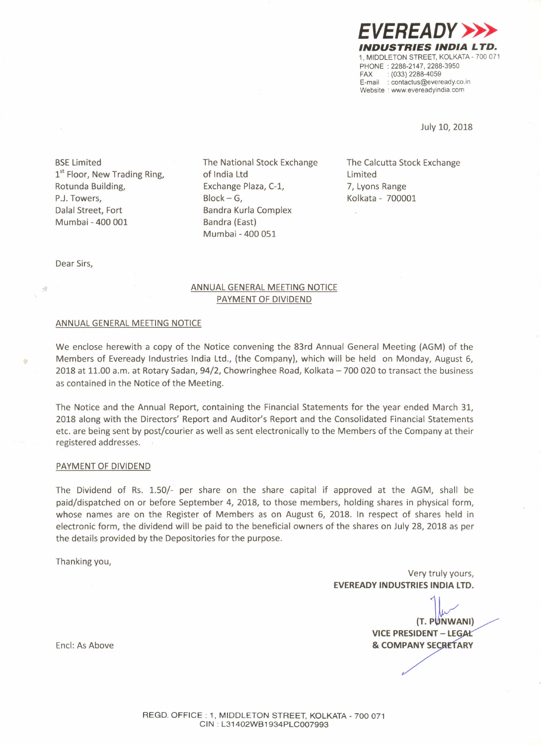*EVEREADY»> INDUSTRIES INDIA LTD.* 1. MIDDLETON STREET. KOLKATA - 700 071 PHONE: 2288-2147. 2288-3950 FAX: (033) 2288-4059 E-mail: contactus@eveready.co.in Website : www.evereadyindia.com

July 10, 2018

BSELimited 1<sup>st</sup> Floor, New Trading Ring, Rotunda Building, P.J. Towers, Dalal Street, Fort Mumbai - 400 001

The National Stock Exchange of India Ltd Exchange Plaza, C-1,  $Block - G$ , Bandra Kurla Complex Bandra (East) Mumbai - 400 051

The Calcutta Stock Exchange Limited 7, Lyons Range Kolkata - 700001

Dear Sirs,

ğ.

# ANNUAL GENERAL MEETING NOTICE PAYMENT OF DIVIDEND

#### ANNUAL GENERAL MEETING NOTICE

We enclose herewith a copy of the Notice convening the 83rd Annual General Meeting (AGM) of the Members of Eveready Industries India Ltd., (the Company), which will be held on Monday, August 6, 2018 at 11.00 a.m. at Rotary Sadan,  $94/2$ , Chowringhee Road, Kolkata  $-700020$  to transact the business as contained in the Notice of the Meeting.

The Notice and the Annual Report, containing the Financial Statements for the year ended March 31, 2018 along with the Directors' Report and Auditor's Report and the Consolidated Financial Statements etc. are being sent by post/courier as well as sent electronically to the Members of the Company at their registered addresses.

#### PAYMENT OF DIVIDEND

The Dividend of Rs. 1.50/- per share on the share capital if approved at the AGM, shall be paid/dispatched on or before September 4, 2018, to those members, holding shares in physical form, whose names are on the Register of Members as on August 6, 2018. In respect of shares held in electronic form, the dividend will be paid to the beneficial owners of the shares on July 28, 2018 as per the details provided by the Depositories for the purpose.

Thanking you,

Very truly yours, **EVEREADY INDUSTRIES INDIA LTD.**

(T. PUNWANI) **VICE PRESIDENT - LEG & COMPANY SECRETARY** 

Encl: As Above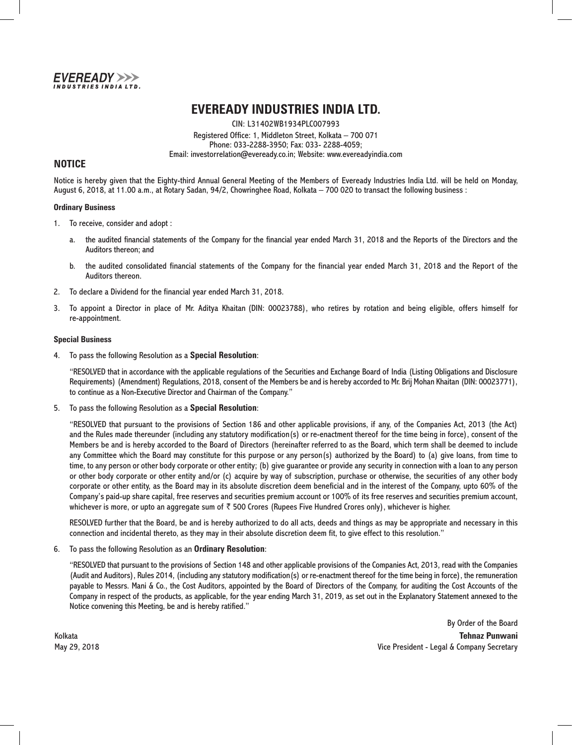

# **EVEREADY INDUSTRIES INDIA LTD.**

CIN: L31402WB1934PLC007993 Registered Office: 1, Middleton Street, Kolkata – 700 071 Phone: 033-2288-3950; Fax: 033- 2288-4059; Email: investorrelation@eveready.co.in; Website: www.evereadyindia.com

## **NOTICE**

Notice is hereby given that the Eighty-third Annual General Meeting of the Members of Eveready Industries India Ltd. will be held on Monday, August 6, 2018, at 11.00 a.m., at Rotary Sadan, 94/2, Chowringhee Road, Kolkata – 700 020 to transact the following business :

#### **Ordinary Business**

- 1. To receive, consider and adopt :
	- a. the audited financial statements of the Company for the financial year ended March 31, 2018 and the Reports of the Directors and the Auditors thereon; and
	- b. the audited consolidated financial statements of the Company for the financial year ended March 31, 2018 and the Report of the Auditors thereon.
- 2. To declare a Dividend for the financial year ended March 31, 2018.
- 3. To appoint a Director in place of Mr. Aditya Khaitan (DIN: 00023788), who retires by rotation and being eligible, offers himself for re-appointment.

#### **Special Business**

4. To pass the following Resolution as a **Special Resolution**:

 "RESOLVED that in accordance with the applicable regulations of the Securities and Exchange Board of India (Listing Obligations and Disclosure Requirements) (Amendment) Regulations, 2018, consent of the Members be and is hereby accorded to Mr. Brij Mohan Khaitan (DIN: 00023771), to continue as a Non-Executive Director and Chairman of the Company."

5. To pass the following Resolution as a **Special Resolution**:

 "RESOLVED that pursuant to the provisions of Section 186 and other applicable provisions, if any, of the Companies Act, 2013 (the Act) and the Rules made thereunder (including any statutory modification(s) or re-enactment thereof for the time being in force), consent of the Members be and is hereby accorded to the Board of Directors (hereinafter referred to as the Board, which term shall be deemed to include any Committee which the Board may constitute for this purpose or any person(s) authorized by the Board) to (a) give loans, from time to time, to any person or other body corporate or other entity; (b) give guarantee or provide any security in connection with a loan to any person or other body corporate or other entity and/or (c) acquire by way of subscription, purchase or otherwise, the securities of any other body corporate or other entity, as the Board may in its absolute discretion deem beneficial and in the interest of the Company, upto 60% of the Company's paid-up share capital, free reserves and securities premium account or 100% of its free reserves and securities premium account, whichever is more, or upto an aggregate sum of  $\bar{\tau}$  500 Crores (Rupees Five Hundred Crores only), whichever is higher.

 RESOLVED further that the Board, be and is hereby authorized to do all acts, deeds and things as may be appropriate and necessary in this connection and incidental thereto, as they may in their absolute discretion deem fit, to give effect to this resolution."

6. To pass the following Resolution as an **Ordinary Resolution**:

 "RESOLVED that pursuant to the provisions of Section 148 and other applicable provisions of the Companies Act, 2013, read with the Companies (Audit and Auditors), Rules 2014, (including any statutory modification(s) or re-enactment thereof for the time being in force), the remuneration payable to Messrs. Mani & Co., the Cost Auditors, appointed by the Board of Directors of the Company, for auditing the Cost Accounts of the Company in respect of the products, as applicable, for the year ending March 31, 2019, as set out in the Explanatory Statement annexed to the Notice convening this Meeting, be and is hereby ratified."

By Order of the Board Kolkata **Tehnaz Punwani** May 29, 2018 Vice President - Legal & Company Secretary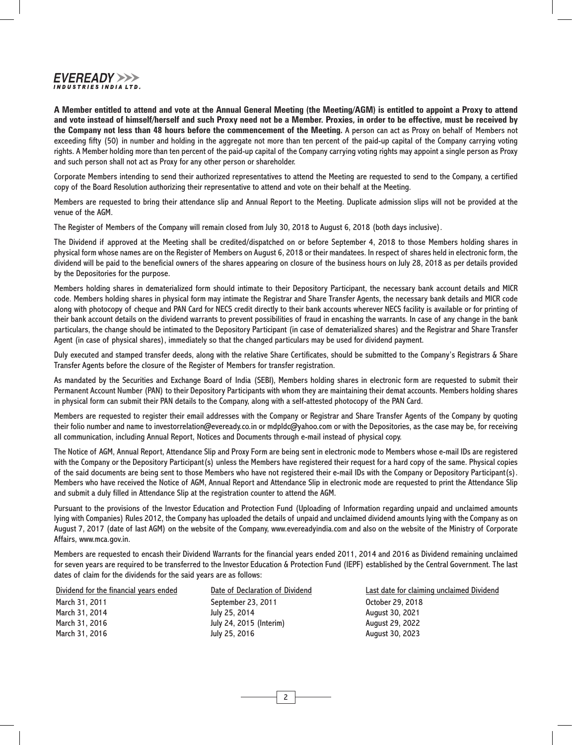### EVEREADY >>> **INDUSTRIES INDIA LTD.**

**A Member entitled to attend and vote at the Annual General Meeting (the Meeting/AGM) is entitled to appoint a Proxy to attend and vote instead of himself/herself and such Proxy need not be a Member. Proxies, in order to be effective, must be received by the Company not less than 48 hours before the commencement of the Meeting.** A person can act as Proxy on behalf of Members not exceeding fifty (50) in number and holding in the aggregate not more than ten percent of the paid-up capital of the Company carrying voting rights. A Member holding more than ten percent of the paid-up capital of the Company carrying voting rights may appoint a single person as Proxy and such person shall not act as Proxy for any other person or shareholder.

Corporate Members intending to send their authorized representatives to attend the Meeting are requested to send to the Company, a certified copy of the Board Resolution authorizing their representative to attend and vote on their behalf at the Meeting.

Members are requested to bring their attendance slip and Annual Report to the Meeting. Duplicate admission slips will not be provided at the venue of the AGM.

The Register of Members of the Company will remain closed from July 30, 2018 to August 6, 2018 (both days inclusive).

The Dividend if approved at the Meeting shall be credited/dispatched on or before September 4, 2018 to those Members holding shares in physical form whose names are on the Register of Members on August 6, 2018 or their mandatees. In respect of shares held in electronic form, the dividend will be paid to the beneficial owners of the shares appearing on closure of the business hours on July 28, 2018 as per details provided by the Depositories for the purpose.

Members holding shares in dematerialized form should intimate to their Depository Participant, the necessary bank account details and MICR code. Members holding shares in physical form may intimate the Registrar and Share Transfer Agents, the necessary bank details and MICR code along with photocopy of cheque and PAN Card for NECS credit directly to their bank accounts wherever NECS facility is available or for printing of their bank account details on the dividend warrants to prevent possibilities of fraud in encashing the warrants. In case of any change in the bank particulars, the change should be intimated to the Depository Participant (in case of dematerialized shares) and the Registrar and Share Transfer Agent (in case of physical shares), immediately so that the changed particulars may be used for dividend payment.

Duly executed and stamped transfer deeds, along with the relative Share Certificates, should be submitted to the Company's Registrars & Share Transfer Agents before the closure of the Register of Members for transfer registration.

As mandated by the Securities and Exchange Board of India (SEBI), Members holding shares in electronic form are requested to submit their Permanent Account Number (PAN) to their Depository Participants with whom they are maintaining their demat accounts. Members holding shares in physical form can submit their PAN details to the Company, along with a self-attested photocopy of the PAN Card.

Members are requested to register their email addresses with the Company or Registrar and Share Transfer Agents of the Company by quoting their folio number and name to investorrelation@eveready.co.in or mdpldc@yahoo.com or with the Depositories, as the case may be, for receiving all communication, including Annual Report, Notices and Documents through e-mail instead of physical copy.

The Notice of AGM, Annual Report, Attendance Slip and Proxy Form are being sent in electronic mode to Members whose e-mail IDs are registered with the Company or the Depository Participant(s) unless the Members have registered their request for a hard copy of the same. Physical copies of the said documents are being sent to those Members who have not registered their e-mail IDs with the Company or Depository Participant(s). Members who have received the Notice of AGM, Annual Report and Attendance Slip in electronic mode are requested to print the Attendance Slip and submit a duly filled in Attendance Slip at the registration counter to attend the AGM.

Pursuant to the provisions of the Investor Education and Protection Fund (Uploading of Information regarding unpaid and unclaimed amounts lying with Companies) Rules 2012, the Company has uploaded the details of unpaid and unclaimed dividend amounts lying with the Company as on August 7, 2017 (date of last AGM) on the website of the Company, www.evereadyindia.com and also on the website of the Ministry of Corporate Affairs, www.mca.gov.in.

Members are requested to encash their Dividend Warrants for the financial years ended 2011, 2014 and 2016 as Dividend remaining unclaimed for seven years are required to be transferred to the Investor Education & Protection Fund (IEPF) established by the Central Government. The last dates of claim for the dividends for the said years are as follows:

| Dividend for the financial years ended | Date of Declarati |
|----------------------------------------|-------------------|
| March 31, 2011                         | September 23, 2   |
| March 31, 2014                         | July 25, 2014     |
| March 31, 2016                         | July 24, 2015 (In |
| March 31, 2016                         | July 25, 2016     |

on of Dividend **Formancial Sears ended Date Contain** Last date for claiming unclaimed Dividend 011 **October 29, 2018** August 30, 2021 terim) and 31, 2022 August 30, 2023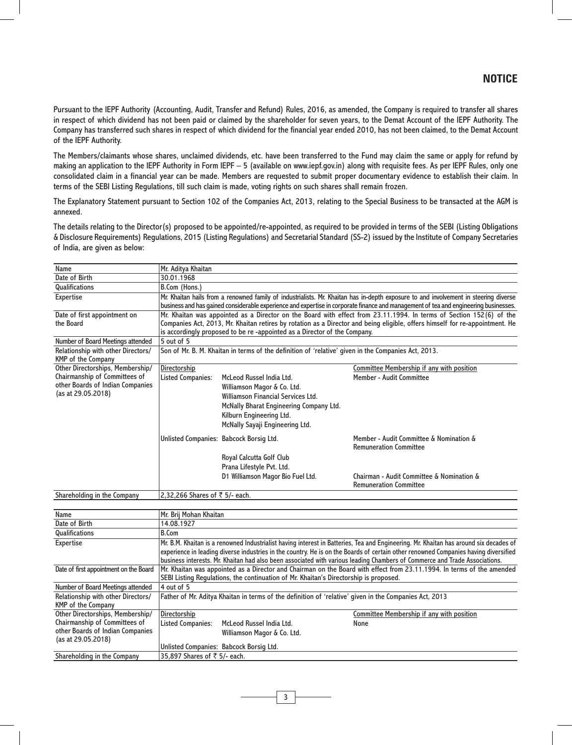Pursuant to the IEPF Authority (Accounting, Audit, Transfer and Refund) Rules, 2016, as amended, the Company is required to transfer all shares in respect of which dividend has not been paid or claimed by the shareholder for seven years, to the Demat Account of the IEPF Authority. The Company has transferred such shares in respect of which dividend for the financial year ended 2010, has not been claimed, to the Demat Account of the IEPF Authority.

The Members/claimants whose shares, unclaimed dividends, etc. have been transferred to the Fund may claim the same or apply for refund by making an application to the IEPF Authority in Form IEPF – 5 (available on www.iepf.gov.in) along with requisite fees. As per IEPF Rules, only one consolidated claim in a financial year can be made. Members are requested to submit proper documentary evidence to establish their claim. In terms of the SEBI Listing Regulations, till such claim is made, voting rights on such shares shall remain frozen.

The Explanatory Statement pursuant to Section 102 of the Companies Act, 2013, relating to the Special Business to be transacted at the AGM is annexed.

The details relating to the Director(s) proposed to be appointed/re-appointed, as required to be provided in terms of the SEBI (Listing Obligations & Disclosure Requirements) Regulations, 2015 (Listing Regulations) and Secretarial Standard (SS-2) issued by the Institute of Company Secretaries of India, are given as below:

| Name                                                                                                                        | Mr. Aditya Khaitan                                                                                                                                                                                                                                                                                                                                                                                         |                                                                                                                                                                                                         |                                                                                                                                                        |  |
|-----------------------------------------------------------------------------------------------------------------------------|------------------------------------------------------------------------------------------------------------------------------------------------------------------------------------------------------------------------------------------------------------------------------------------------------------------------------------------------------------------------------------------------------------|---------------------------------------------------------------------------------------------------------------------------------------------------------------------------------------------------------|--------------------------------------------------------------------------------------------------------------------------------------------------------|--|
| Date of Birth                                                                                                               | 30.01.1968                                                                                                                                                                                                                                                                                                                                                                                                 |                                                                                                                                                                                                         |                                                                                                                                                        |  |
| <b>Qualifications</b>                                                                                                       | B.Com (Hons.)                                                                                                                                                                                                                                                                                                                                                                                              |                                                                                                                                                                                                         |                                                                                                                                                        |  |
| <b>Expertise</b>                                                                                                            | Mr. Khaitan hails from a renowned family of industrialists. Mr. Khaitan has in-depth exposure to and involvement in steering diverse<br>business and has gained considerable experience and expertise in corporate finance and management of tea and engineering businesses.                                                                                                                               |                                                                                                                                                                                                         |                                                                                                                                                        |  |
| Date of first appointment on<br>the Board                                                                                   | Mr. Khaitan was appointed as a Director on the Board with effect from 23.11.1994. In terms of Section 152(6) of the<br>Companies Act, 2013, Mr. Khaitan retires by rotation as a Director and being eligible, offers himself for re-appointment. He<br>is accordingly proposed to be re-appointed as a Director of the Company.                                                                            |                                                                                                                                                                                                         |                                                                                                                                                        |  |
| Number of Board Meetings attended                                                                                           | 5 out of 5                                                                                                                                                                                                                                                                                                                                                                                                 |                                                                                                                                                                                                         |                                                                                                                                                        |  |
| Relationship with other Directors/<br>KMP of the Company                                                                    | Son of Mr. B. M. Khaitan in terms of the definition of 'relative' given in the Companies Act, 2013.                                                                                                                                                                                                                                                                                                        |                                                                                                                                                                                                         |                                                                                                                                                        |  |
| Other Directorships, Membership/<br>Chairmanship of Committees of<br>other Boards of Indian Companies<br>(as at 29.05.2018) | Directorship<br><b>Listed Companies:</b>                                                                                                                                                                                                                                                                                                                                                                   | McLeod Russel India Ltd.<br>Williamson Magor & Co. Ltd.<br>Williamson Financial Services Ltd.<br>McNally Bharat Engineering Company Ltd.<br>Kilburn Engineering Ltd.<br>McNally Sayaji Engineering Ltd. | Committee Membership if any with position<br>Member - Audit Committee                                                                                  |  |
|                                                                                                                             | Unlisted Companies: Babcock Borsig Ltd.                                                                                                                                                                                                                                                                                                                                                                    | Royal Calcutta Golf Club<br>Prana Lifestyle Pvt. Ltd.<br>D1 Williamson Magor Bio Fuel Ltd.                                                                                                              | Member - Audit Committee & Nomination &<br><b>Remuneration Committee</b><br>Chairman - Audit Committee & Nomination &<br><b>Remuneration Committee</b> |  |
|                                                                                                                             | 2,32,266 Shares of ₹ 5/- each.                                                                                                                                                                                                                                                                                                                                                                             |                                                                                                                                                                                                         |                                                                                                                                                        |  |
| Shareholding in the Company                                                                                                 |                                                                                                                                                                                                                                                                                                                                                                                                            |                                                                                                                                                                                                         |                                                                                                                                                        |  |
| Name                                                                                                                        | Mr. Brij Mohan Khaitan                                                                                                                                                                                                                                                                                                                                                                                     |                                                                                                                                                                                                         |                                                                                                                                                        |  |
| Date of Birth                                                                                                               | 14.08.1927                                                                                                                                                                                                                                                                                                                                                                                                 |                                                                                                                                                                                                         |                                                                                                                                                        |  |
| Qualifications                                                                                                              | <b>B.Com</b>                                                                                                                                                                                                                                                                                                                                                                                               |                                                                                                                                                                                                         |                                                                                                                                                        |  |
| <b>Expertise</b>                                                                                                            | Mr. B.M. Khaitan is a renowned Industrialist having interest in Batteries, Tea and Engineering. Mr. Khaitan has around six decades of<br>experience in leading diverse industries in the country. He is on the Boards of certain other renowned Companies having diversified<br>business interests. Mr. Khaitan had also been associated with various leading Chambers of Commerce and Trade Associations. |                                                                                                                                                                                                         |                                                                                                                                                        |  |
| Date of first appointment on the Board                                                                                      | Mr. Khaitan was appointed as a Director and Chairman on the Board with effect from 23.11.1994. In terms of the amended<br>SEBI Listing Regulations, the continuation of Mr. Khaitan's Directorship is proposed.                                                                                                                                                                                            |                                                                                                                                                                                                         |                                                                                                                                                        |  |
| Number of Board Meetings attended                                                                                           | 4 out of 5                                                                                                                                                                                                                                                                                                                                                                                                 |                                                                                                                                                                                                         |                                                                                                                                                        |  |
| Relationship with other Directors/<br>KMP of the Company                                                                    | Father of Mr. Aditya Khaitan in terms of the definition of 'relative' given in the Companies Act, 2013                                                                                                                                                                                                                                                                                                     |                                                                                                                                                                                                         |                                                                                                                                                        |  |
| Other Directorships, Membership/<br>Chairmanship of Committees of<br>other Boards of Indian Companies<br>(as at 29.05.2018) | Directorship<br><b>Listed Companies:</b><br>Unlisted Companies: Babcock Borsig Ltd.                                                                                                                                                                                                                                                                                                                        | McLeod Russel India Ltd.<br>Williamson Magor & Co. Ltd.                                                                                                                                                 | Committee Membership if any with position<br>None                                                                                                      |  |

3

Shareholding in the Company 35,897 Shares of  $\bar{z}$  5/- each.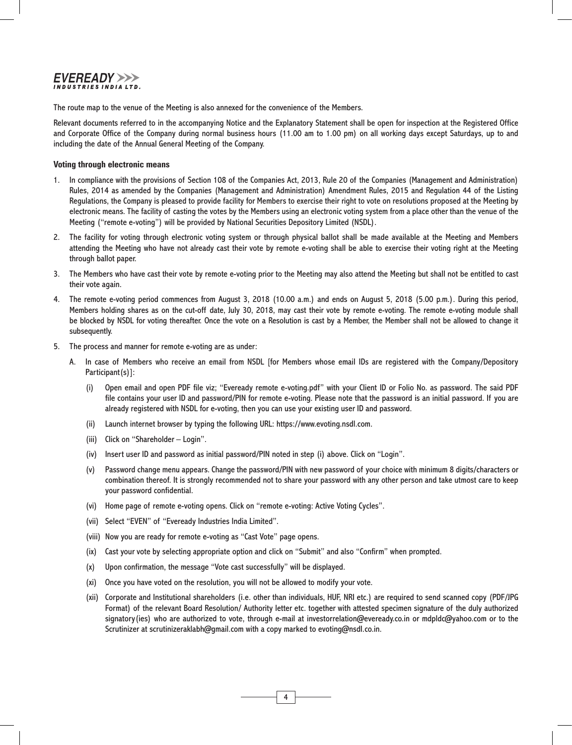## EVEREADY >>> **INDUSTRIES INDIA LTD.**

The route map to the venue of the Meeting is also annexed for the convenience of the Members.

Relevant documents referred to in the accompanying Notice and the Explanatory Statement shall be open for inspection at the Registered Office and Corporate Office of the Company during normal business hours (11.00 am to 1.00 pm) on all working days except Saturdays, up to and including the date of the Annual General Meeting of the Company.

#### **Voting through electronic means**

- 1. In compliance with the provisions of Section 108 of the Companies Act, 2013, Rule 20 of the Companies (Management and Administration) Rules, 2014 as amended by the Companies (Management and Administration) Amendment Rules, 2015 and Regulation 44 of the Listing Regulations, the Company is pleased to provide facility for Members to exercise their right to vote on resolutions proposed at the Meeting by electronic means. The facility of casting the votes by the Members using an electronic voting system from a place other than the venue of the Meeting ("remote e-voting") will be provided by National Securities Depository Limited (NSDL).
- 2. The facility for voting through electronic voting system or through physical ballot shall be made available at the Meeting and Members attending the Meeting who have not already cast their vote by remote e-voting shall be able to exercise their voting right at the Meeting through ballot paper.
- 3. The Members who have cast their vote by remote e-voting prior to the Meeting may also attend the Meeting but shall not be entitled to cast their vote again.
- 4. The remote e-voting period commences from August 3, 2018 (10.00 a.m.) and ends on August 5, 2018 (5.00 p.m.). During this period, Members holding shares as on the cut-off date, July 30, 2018, may cast their vote by remote e-voting. The remote e-voting module shall be blocked by NSDL for voting thereafter. Once the vote on a Resolution is cast by a Member, the Member shall not be allowed to change it subsequently.
- 5. The process and manner for remote e-voting are as under:
	- A. In case of Members who receive an email from NSDL [for Members whose email IDs are registered with the Company/Depository Participant(s)]:
		- (i) Open email and open PDF file viz; "Eveready remote e-voting.pdf" with your Client ID or Folio No. as password. The said PDF file contains your user ID and password/PIN for remote e-voting. Please note that the password is an initial password. If you are already registered with NSDL for e-voting, then you can use your existing user ID and password.
		- (ii) Launch internet browser by typing the following URL: https://www.evoting.nsdl.com.
		- (iii) Click on "Shareholder Login".
		- (iv) Insert user ID and password as initial password/PIN noted in step (i) above. Click on "Login".
		- (v) Password change menu appears. Change the password/PIN with new password of your choice with minimum 8 digits/characters or combination thereof. It is strongly recommended not to share your password with any other person and take utmost care to keep your password confidential.
		- (vi) Home page of remote e-voting opens. Click on "remote e-voting: Active Voting Cycles".
		- (vii) Select "EVEN" of "Eveready Industries India Limited".
		- (viii) Now you are ready for remote e-voting as "Cast Vote" page opens.
		- (ix) Cast your vote by selecting appropriate option and click on "Submit" and also "Confirm" when prompted.
		- (x) Upon confirmation, the message "Vote cast successfully" will be displayed.
		- (xi) Once you have voted on the resolution, you will not be allowed to modify your vote.
		- (xii) Corporate and Institutional shareholders (i.e. other than individuals, HUF, NRI etc.) are required to send scanned copy (PDF/JPG Format) of the relevant Board Resolution/ Authority letter etc. together with attested specimen signature of the duly authorized signatory(ies) who are authorized to vote, through e-mail at investorrelation@eveready.co.in or mdpldc@yahoo.com or to the Scrutinizer at scrutinizeraklabh@gmail.com with a copy marked to evoting@nsdl.co.in.

4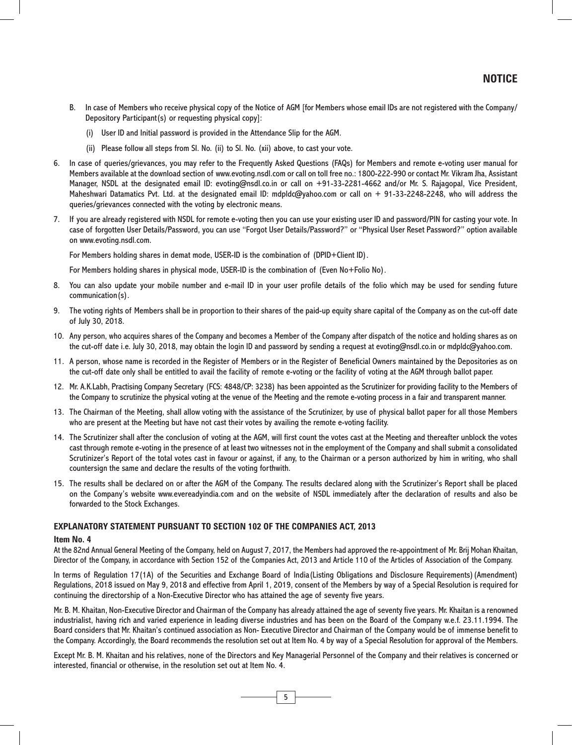- B. In case of Members who receive physical copy of the Notice of AGM [for Members whose email IDs are not registered with the Company/ Depository Participant(s) or requesting physical copy]:
	- (i) User ID and Initial password is provided in the Attendance Slip for the AGM.
	- (ii) Please follow all steps from Sl. No. (ii) to Sl. No. (xii) above, to cast your vote.
- 6. In case of queries/grievances, you may refer to the Frequently Asked Questions (FAQs) for Members and remote e-voting user manual for Members available at the download section of www.evoting.nsdl.com or call on toll free no.: 1800-222-990 or contact Mr. Vikram Jha, Assistant Manager, NSDL at the designated email ID: evoting@nsdl.co.in or call on +91-33-2281-4662 and/or Mr. S. Rajagopal, Vice President, Maheshwari Datamatics Pvt. Ltd. at the designated email ID: mdpldc@yahoo.com or call on + 91-33-2248-2248, who will address the queries/grievances connected with the voting by electronic means.
- 7. If you are already registered with NSDL for remote e-voting then you can use your existing user ID and password/PIN for casting your vote. In case of forgotten User Details/Password, you can use "Forgot User Details/Password?" or "Physical User Reset Password?" option available on www.evoting.nsdl.com.

For Members holding shares in demat mode, USER-ID is the combination of (DPID+Client ID).

For Members holding shares in physical mode, USER-ID is the combination of (Even No+Folio No).

- 8. You can also update your mobile number and e-mail ID in your user profile details of the folio which may be used for sending future communication(s).
- 9. The voting rights of Members shall be in proportion to their shares of the paid-up equity share capital of the Company as on the cut-off date of July 30, 2018.
- 10. Any person, who acquires shares of the Company and becomes a Member of the Company after dispatch of the notice and holding shares as on the cut-off date i.e. July 30, 2018, may obtain the login ID and password by sending a request at evoting@nsdl.co.in or mdpldc@yahoo.com.
- 11. A person, whose name is recorded in the Register of Members or in the Register of Beneficial Owners maintained by the Depositories as on the cut-off date only shall be entitled to avail the facility of remote e-voting or the facility of voting at the AGM through ballot paper.
- 12. Mr. A.K.Labh, Practising Company Secretary (FCS: 4848/CP: 3238) has been appointed as the Scrutinizer for providing facility to the Members of the Company to scrutinize the physical voting at the venue of the Meeting and the remote e-voting process in a fair and transparent manner.
- 13. The Chairman of the Meeting, shall allow voting with the assistance of the Scrutinizer, by use of physical ballot paper for all those Members who are present at the Meeting but have not cast their votes by availing the remote e-voting facility.
- 14. The Scrutinizer shall after the conclusion of voting at the AGM, will first count the votes cast at the Meeting and thereafter unblock the votes cast through remote e-voting in the presence of at least two witnesses not in the employment of the Company and shall submit a consolidated Scrutinizer's Report of the total votes cast in favour or against, if any, to the Chairman or a person authorized by him in writing, who shall countersign the same and declare the results of the voting forthwith.
- 15. The results shall be declared on or after the AGM of the Company. The results declared along with the Scrutinizer's Report shall be placed on the Company's website www.evereadyindia.com and on the website of NSDL immediately after the declaration of results and also be forwarded to the Stock Exchanges.

#### **EXPLANATORY STATEMENT PURSUANT TO SECTION 102 OF THE COMPANIES ACT, 2013**

#### **Item No. 4**

At the 82nd Annual General Meeting of the Company, held on August 7, 2017, the Members had approved the re-appointment of Mr. Brij Mohan Khaitan, Director of the Company, in accordance with Section 152 of the Companies Act, 2013 and Article 110 of the Articles of Association of the Company.

In terms of Regulation 17(1A) of the Securities and Exchange Board of India(Listing Obligations and Disclosure Requirements)(Amendment) Regulations, 2018 issued on May 9, 2018 and effective from April 1, 2019, consent of the Members by way of a Special Resolution is required for continuing the directorship of a Non-Executive Director who has attained the age of seventy five years.

Mr. B. M. Khaitan, Non-Executive Director and Chairman of the Company has already attained the age of seventy five years. Mr. Khaitan is a renowned industrialist, having rich and varied experience in leading diverse industries and has been on the Board of the Company w.e.f. 23.11.1994. The Board considers that Mr. Khaitan's continued association as Non- Executive Director and Chairman of the Company would be of immense benefit to the Company. Accordingly, the Board recommends the resolution set out at Item No. 4 by way of a Special Resolution for approval of the Members.

Except Mr. B. M. Khaitan and his relatives, none of the Directors and Key Managerial Personnel of the Company and their relatives is concerned or interested, financial or otherwise, in the resolution set out at Item No. 4.

5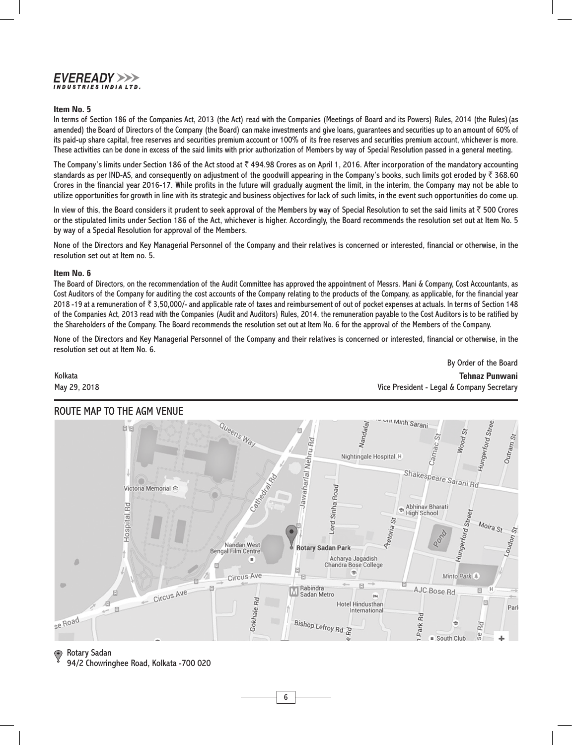### EVEREADY >>> **INDUSTRIES INDIA LTD.**

#### **Item No. 5**

In terms of Section 186 of the Companies Act, 2013 (the Act) read with the Companies (Meetings of Board and its Powers) Rules, 2014 (the Rules)(as amended) the Board of Directors of the Company (the Board) can make investments and give loans, guarantees and securities up to an amount of 60% of its paid-up share capital, free reserves and securities premium account or 100% of its free reserves and securities premium account, whichever is more. These activities can be done in excess of the said limits with prior authorization of Members by way of Special Resolution passed in a general meeting.

The Company's limits under Section 186 of the Act stood at  $\bar{\tau}$  494.98 Crores as on April 1, 2016. After incorporation of the mandatory accounting standards as per IND-AS, and consequently on adjustment of the goodwill appearing in the Company's books, such limits got eroded by  $\bar{\tau}$  368.60 Crores in the financial year 2016-17. While profits in the future will gradually augment the limit, in the interim, the Company may not be able to utilize opportunities for growth in line with its strategic and business objectives for lack of such limits, in the event such opportunities do come up.

In view of this, the Board considers it prudent to seek approval of the Members by way of Special Resolution to set the said limits at  $\bar{\tau}$  500 Crores or the stipulated limits under Section 186 of the Act, whichever is higher. Accordingly, the Board recommends the resolution set out at Item No. 5 by way of a Special Resolution for approval of the Members.

None of the Directors and Key Managerial Personnel of the Company and their relatives is concerned or interested, financial or otherwise, in the resolution set out at Item no. 5.

#### **Item No. 6**

The Board of Directors, on the recommendation of the Audit Committee has approved the appointment of Messrs. Mani & Company, Cost Accountants, as Cost Auditors of the Company for auditing the cost accounts of the Company relating to the products of the Company, as applicable, for the financial year 2018 -19 at a remuneration of  $\bar{\tau}$  3,50,000/- and applicable rate of taxes and reimbursement of out of pocket expenses at actuals. In terms of Section 148 of the Companies Act, 2013 read with the Companies (Audit and Auditors) Rules, 2014, the remuneration payable to the Cost Auditors is to be ratified by the Shareholders of the Company. The Board recommends the resolution set out at Item No. 6 for the approval of the Members of the Company.

None of the Directors and Key Managerial Personnel of the Company and their relatives is concerned or interested, financial or otherwise, in the resolution set out at Item No. 6.

By Order of the Board

Kolkata **Tehnaz Punwani** May 29, 2018 Vice President - Legal & Company Secretary



# ROUTE MAP TO THE AGM VENUE

### Rotary Sadan

94/2 Chowringhee Road, Kolkata -700 020

6